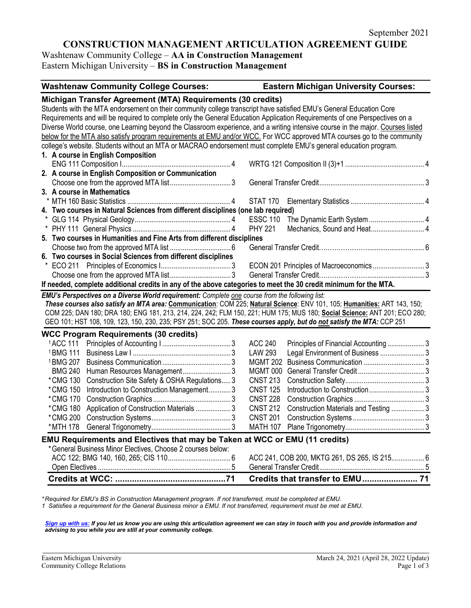# **CONSTRUCTION MANAGEMENT ARTICULATION AGREEMENT GUIDE**

Washtenaw Community College – **AA in Construction Management** Eastern Michigan University – **BS in Construction Management**

| <b>Washtenaw Community College Courses:</b>                                                                                     | <b>Eastern Michigan University Courses:</b>             |
|---------------------------------------------------------------------------------------------------------------------------------|---------------------------------------------------------|
| Michigan Transfer Agreement (MTA) Requirements (30 credits)                                                                     |                                                         |
| Students with the MTA endorsement on their community college transcript have satisfied EMU's General Education Core             |                                                         |
| Requirements and will be required to complete only the General Education Application Requirements of one Perspectives on a      |                                                         |
| Diverse World course, one Learning beyond the Classroom experience, and a writing intensive course in the major. Courses listed |                                                         |
| below for the MTA also satisfy program requirements at EMU and/or WCC. For WCC approved MTA courses go to the community         |                                                         |
| college's website. Students without an MTA or MACRAO endorsement must complete EMU's general education program.                 |                                                         |
| 1. A course in English Composition                                                                                              |                                                         |
|                                                                                                                                 |                                                         |
| 2. A course in English Composition or Communication                                                                             |                                                         |
|                                                                                                                                 |                                                         |
| 3. A course in Mathematics                                                                                                      |                                                         |
|                                                                                                                                 |                                                         |
| 4. Two courses in Natural Sciences from different disciplines (one lab required)                                                |                                                         |
|                                                                                                                                 | <b>ESSC 110</b>                                         |
|                                                                                                                                 | Mechanics, Sound and Heat 4<br><b>PHY 221</b>           |
| 5. Two courses in Humanities and Fine Arts from different disciplines                                                           |                                                         |
|                                                                                                                                 |                                                         |
| 6. Two courses in Social Sciences from different disciplines                                                                    |                                                         |
|                                                                                                                                 | ECON 201 Principles of Macroeconomics  3                |
|                                                                                                                                 |                                                         |
| If needed, complete additional credits in any of the above categories to meet the 30 credit minimum for the MTA.                |                                                         |
| EMU's Perspectives on a Diverse World requirement: Complete one course from the following list:                                 |                                                         |
| These courses also satisfy an MTA area: Communication: COM 225; Natural Science: ENV 101, 105; Humanities: ART 143, 150;        |                                                         |
| COM 225; DAN 180; DRA 180; ENG 181, 213, 214, 224, 242; FLM 150, 221; HUM 175; MUS 180; Social Science: ANT 201; ECO 280;       |                                                         |
| GEO 101; HST 108, 109, 123, 150, 230, 235; PSY 251; SOC 205. These courses apply, but do not satisfy the MTA: CCP 251           |                                                         |
| <b>WCC Program Requirements (30 credits)</b>                                                                                    |                                                         |
| <sup>1</sup> ACC 111                                                                                                            | <b>ACC 240</b><br>Principles of Financial Accounting3   |
| <sup>1</sup> BMG 111                                                                                                            | Legal Environment of Business 3<br><b>LAW 293</b>       |
| <sup>1</sup> BMG 207                                                                                                            |                                                         |
| Human Resources Management3<br><b>BMG 240</b>                                                                                   |                                                         |
| Construction Site Safety & OSHA Regulations 3<br>*CMG 130                                                                       | <b>CNST 213</b>                                         |
| Introduction to Construction Management 3<br>*CMG 150                                                                           | <b>CNST 125</b>                                         |
| *CMG 170                                                                                                                        | <b>CNST 228</b>                                         |
| *CMG 180<br>Application of Construction Materials  3                                                                            | <b>CNST 212</b><br>Construction Materials and Testing 3 |
| *CMG 200                                                                                                                        | <b>CNST 201</b>                                         |
| *MTH 178                                                                                                                        |                                                         |
| EMU Requirements and Electives that may be Taken at WCC or EMU (11 credits)                                                     |                                                         |
| *General Business Minor Electives, Choose 2 courses below:                                                                      |                                                         |
|                                                                                                                                 | ACC 241, COB 200, MKTG 261, DS 265, IS 215 6            |
|                                                                                                                                 |                                                         |
|                                                                                                                                 | Credits that transfer to EMU 71                         |

*\* Required for EMU's BS in Construction Management program. If not transferred, must be completed at EMU.* 

*1 Satisfies a requirement for the General Business minor a EMU. If not transferred, requirement must be met at EMU.*

*[Sign up with us:](https://www.emich.edu/ccr/articulation-agreements/signup.php) If you let us know you are using this articulation agreement we can stay in touch with you and provide information and advising to you while you are still at your community college.*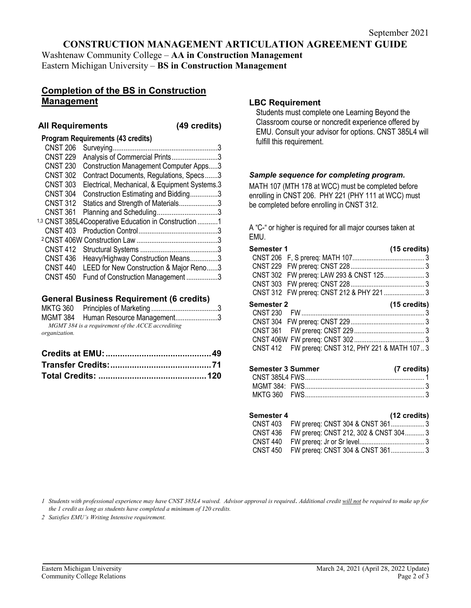## **CONSTRUCTION MANAGEMENT ARTICULATION AGREEMENT GUIDE**

Washtenaw Community College – **AA in Construction Management** Eastern Michigan University – **BS in Construction Management**

### **Completion of the BS in Construction Management**

#### **All Requirements (49 credits)**

| <b>Program Requirements (43 credits)</b> |                                                                                                                                                                                                                                                                                                                                                                                                                                                    |
|------------------------------------------|----------------------------------------------------------------------------------------------------------------------------------------------------------------------------------------------------------------------------------------------------------------------------------------------------------------------------------------------------------------------------------------------------------------------------------------------------|
|                                          | 3                                                                                                                                                                                                                                                                                                                                                                                                                                                  |
|                                          |                                                                                                                                                                                                                                                                                                                                                                                                                                                    |
|                                          |                                                                                                                                                                                                                                                                                                                                                                                                                                                    |
|                                          |                                                                                                                                                                                                                                                                                                                                                                                                                                                    |
|                                          |                                                                                                                                                                                                                                                                                                                                                                                                                                                    |
|                                          |                                                                                                                                                                                                                                                                                                                                                                                                                                                    |
|                                          |                                                                                                                                                                                                                                                                                                                                                                                                                                                    |
|                                          |                                                                                                                                                                                                                                                                                                                                                                                                                                                    |
|                                          |                                                                                                                                                                                                                                                                                                                                                                                                                                                    |
|                                          |                                                                                                                                                                                                                                                                                                                                                                                                                                                    |
|                                          |                                                                                                                                                                                                                                                                                                                                                                                                                                                    |
| CNST 412                                 |                                                                                                                                                                                                                                                                                                                                                                                                                                                    |
|                                          |                                                                                                                                                                                                                                                                                                                                                                                                                                                    |
|                                          |                                                                                                                                                                                                                                                                                                                                                                                                                                                    |
|                                          |                                                                                                                                                                                                                                                                                                                                                                                                                                                    |
|                                          | Analysis of Commercial Prints3<br><b>Construction Management Computer Apps3</b><br>Contract Documents, Regulations, Specs3<br>Electrical, Mechanical, & Equipment Systems.3<br>Construction Estimating and Bidding3<br>Statics and Strength of Materials3<br><sup>1,3</sup> CNST 385L4Cooperative Education in Construction 1<br>Heavy/Highway Construction Means3<br>LEED for New Construction & Major Reno3<br>Fund of Construction Management 3 |

#### **General Business Requirement (6 credits)**

|               | MGMT 384 Human Resource Management3               |  |
|---------------|---------------------------------------------------|--|
|               | MGMT 384 is a requirement of the ACCE accrediting |  |
| organization. |                                                   |  |

#### **LBC Requirement**

Students must complete one Learning Beyond the Classroom course or noncredit experience offered by EMU. Consult your advisor for options. CNST 385L4 will fulfill this requirement.

#### *Sample sequence for completing program.*

MATH 107 (MTH 178 at WCC) must be completed before enrolling in CNST 206. PHY 221 (PHY 111 at WCC) must be completed before enrolling in CNST 312.

A "C-" or higher is required for all major courses taken at EMU.

| <b>Semester 1</b> |                                           | $(15 \text{ credits})$ |
|-------------------|-------------------------------------------|------------------------|
|                   |                                           |                        |
|                   |                                           |                        |
|                   | CNST 302 FW prereq: LAW 293 & CNST 125 3  |                        |
|                   |                                           |                        |
|                   | CNST 312 FW prereq: CNST 212 & PHY 221  3 |                        |
|                   |                                           |                        |
|                   |                                           | $(15 \text{ credits})$ |
| <b>CNST 230</b>   |                                           |                        |
|                   |                                           |                        |
| <b>Semester 2</b> |                                           |                        |
|                   |                                           |                        |

| Semester 3 Summer | (7 credits) |
|-------------------|-------------|
|                   |             |
|                   |             |
|                   |             |

| Semester 4 | (12 credits)                                   |  |
|------------|------------------------------------------------|--|
|            |                                                |  |
|            | CNST 436 FW prereq: CNST 212, 302 & CNST 304 3 |  |
|            |                                                |  |
|            |                                                |  |

*1 Students with professional experience may have CNST 385L4 waived. Advisor approval is required*. *Additional credit will not be required to make up for the 1 credit as long as students have completed a minimum of 120 credits.* 

*2 Satisfies EMU's Writing Intensive requirement.*